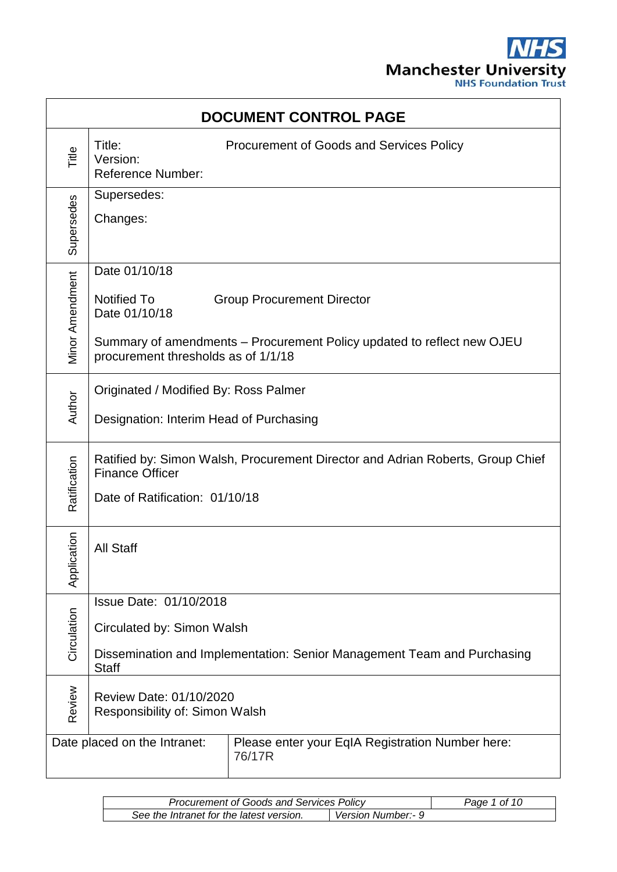

| <b>DOCUMENT CONTROL PAGE</b> |                                                                                                                                                 |                                                                                                             |  |
|------------------------------|-------------------------------------------------------------------------------------------------------------------------------------------------|-------------------------------------------------------------------------------------------------------------|--|
| Title                        | Title:<br>Version:<br><b>Reference Number:</b>                                                                                                  | <b>Procurement of Goods and Services Policy</b>                                                             |  |
| Supersedes                   | Supersedes:<br>Changes:                                                                                                                         |                                                                                                             |  |
| Vlinor Amendment             | Date 01/10/18<br><b>Notified To</b><br>Date 01/10/18<br>procurement thresholds as of 1/1/18                                                     | <b>Group Procurement Director</b><br>Summary of amendments – Procurement Policy updated to reflect new OJEU |  |
| Author                       | Originated / Modified By: Ross Palmer<br>Designation: Interim Head of Purchasing                                                                |                                                                                                             |  |
| Ratification                 | Ratified by: Simon Walsh, Procurement Director and Adrian Roberts, Group Chief<br><b>Finance Officer</b><br>Date of Ratification: 01/10/18      |                                                                                                             |  |
| cation<br>Applic             | <b>All Staff</b>                                                                                                                                |                                                                                                             |  |
| Circulation                  | Issue Date: 01/10/2018<br>Circulated by: Simon Walsh<br>Dissemination and Implementation: Senior Management Team and Purchasing<br><b>Staff</b> |                                                                                                             |  |
| Review                       | Review Date: 01/10/2020<br>Responsibility of: Simon Walsh                                                                                       |                                                                                                             |  |
|                              | Date placed on the Intranet:                                                                                                                    | Please enter your EqIA Registration Number here:<br>76/17R                                                  |  |

| <b>Procurement of Goods and Services Policy</b> |                    | Page 1 of 10 |
|-------------------------------------------------|--------------------|--------------|
| See the Intranet for the latest version.        | Version Number:- 9 |              |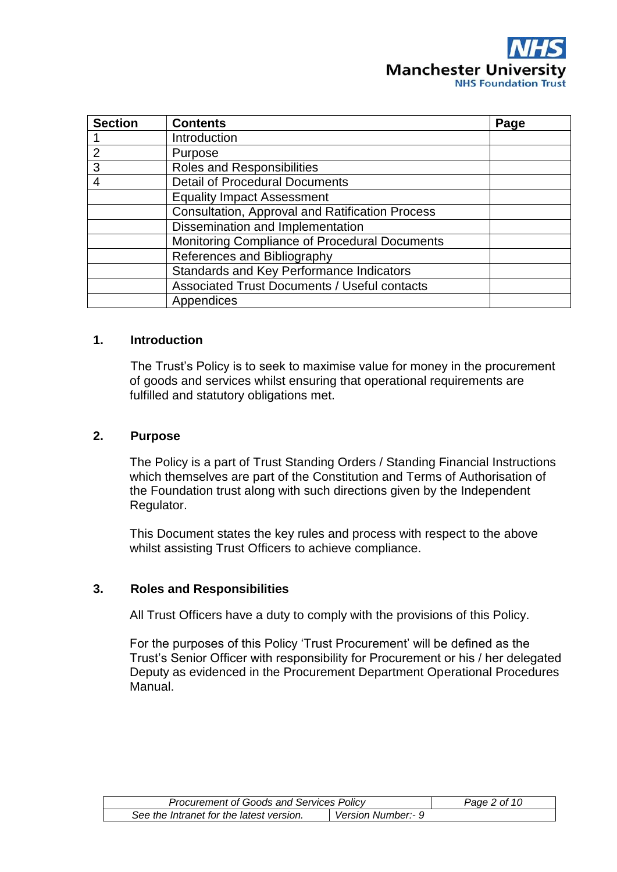

| <b>Section</b> | <b>Contents</b>                                        | Page |
|----------------|--------------------------------------------------------|------|
|                | Introduction                                           |      |
| $\mathcal{P}$  | Purpose                                                |      |
| 3              | Roles and Responsibilities                             |      |
| 4              | <b>Detail of Procedural Documents</b>                  |      |
|                | <b>Equality Impact Assessment</b>                      |      |
|                | <b>Consultation, Approval and Ratification Process</b> |      |
|                | Dissemination and Implementation                       |      |
|                | Monitoring Compliance of Procedural Documents          |      |
|                | References and Bibliography                            |      |
|                | Standards and Key Performance Indicators               |      |
|                | <b>Associated Trust Documents / Useful contacts</b>    |      |
|                | Appendices                                             |      |

#### **1. Introduction**

The Trust's Policy is to seek to maximise value for money in the procurement of goods and services whilst ensuring that operational requirements are fulfilled and statutory obligations met.

#### **2. Purpose**

The Policy is a part of Trust Standing Orders / Standing Financial Instructions which themselves are part of the Constitution and Terms of Authorisation of the Foundation trust along with such directions given by the Independent Regulator.

This Document states the key rules and process with respect to the above whilst assisting Trust Officers to achieve compliance.

#### **3. Roles and Responsibilities**

All Trust Officers have a duty to comply with the provisions of this Policy.

For the purposes of this Policy 'Trust Procurement' will be defined as the Trust's Senior Officer with responsibility for Procurement or his / her delegated Deputy as evidenced in the Procurement Department Operational Procedures Manual.

| <b>Procurement of Goods and Services Policy</b> |                    | Page 2 of 10 |
|-------------------------------------------------|--------------------|--------------|
| See the Intranet for the latest version.        | Version Number:- 9 |              |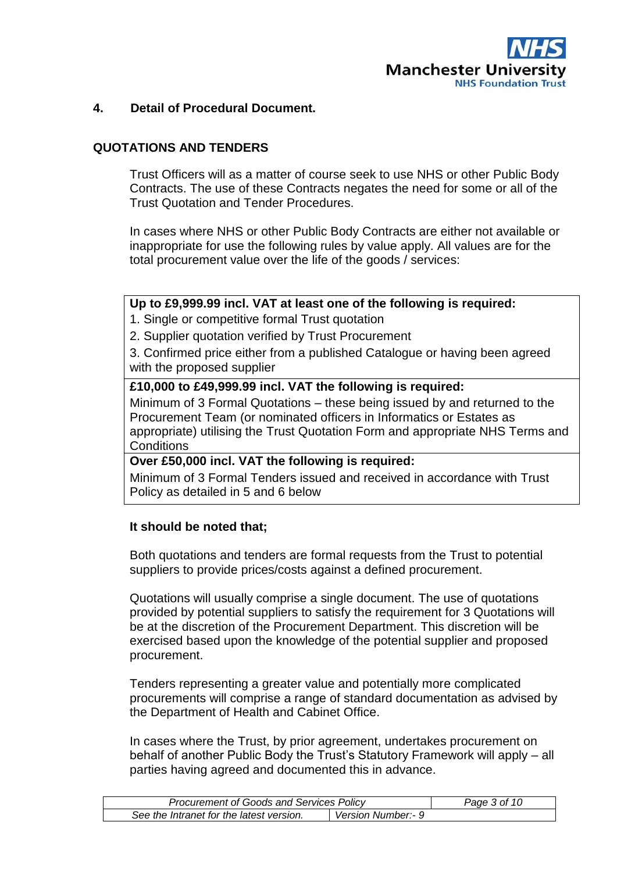

## **4. Detail of Procedural Document.**

## **QUOTATIONS AND TENDERS**

Trust Officers will as a matter of course seek to use NHS or other Public Body Contracts. The use of these Contracts negates the need for some or all of the Trust Quotation and Tender Procedures.

In cases where NHS or other Public Body Contracts are either not available or inappropriate for use the following rules by value apply. All values are for the total procurement value over the life of the goods / services:

#### **Up to £9,999.99 incl. VAT at least one of the following is required:**

1. Single or competitive formal Trust quotation

2. Supplier quotation verified by Trust Procurement

3. Confirmed price either from a published Catalogue or having been agreed with the proposed supplier

# **£10,000 to £49,999.99 incl. VAT the following is required:**

Minimum of 3 Formal Quotations – these being issued by and returned to the Procurement Team (or nominated officers in Informatics or Estates as appropriate) utilising the Trust Quotation Form and appropriate NHS Terms and **Conditions** 

# **Over £50,000 incl. VAT the following is required:**

Minimum of 3 Formal Tenders issued and received in accordance with Trust Policy as detailed in 5 and 6 below

#### **It should be noted that;**

Both quotations and tenders are formal requests from the Trust to potential suppliers to provide prices/costs against a defined procurement.

Quotations will usually comprise a single document. The use of quotations provided by potential suppliers to satisfy the requirement for 3 Quotations will be at the discretion of the Procurement Department. This discretion will be exercised based upon the knowledge of the potential supplier and proposed procurement.

Tenders representing a greater value and potentially more complicated procurements will comprise a range of standard documentation as advised by the Department of Health and Cabinet Office.

In cases where the Trust, by prior agreement, undertakes procurement on behalf of another Public Body the Trust's Statutory Framework will apply – all parties having agreed and documented this in advance.

| <b>Procurement of Goods and Services Policy</b> |                    | Page 3 of 10 |
|-------------------------------------------------|--------------------|--------------|
| See the Intranet for the latest version.        | Version Number:- 9 |              |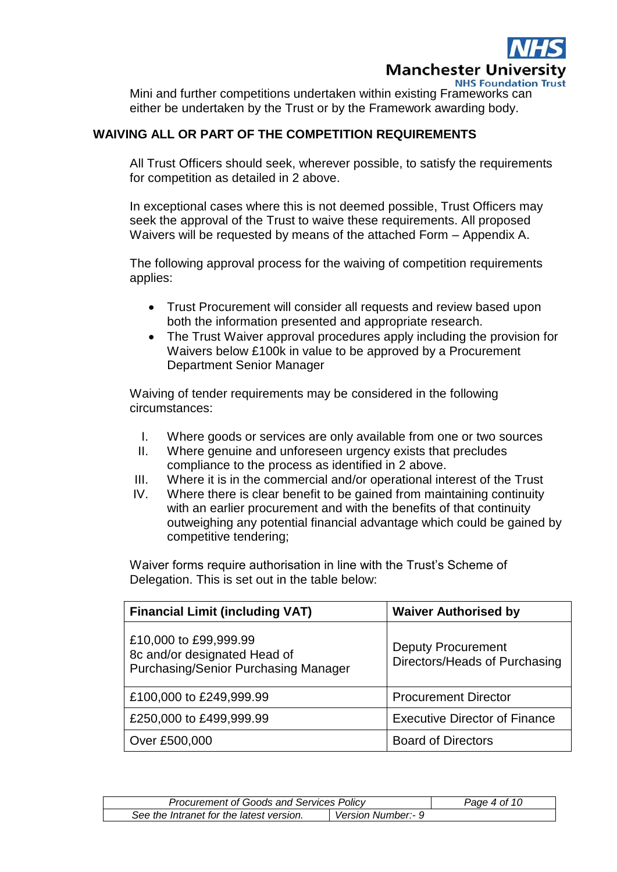

Mini and further competitions undertaken within existing Frameworks can either be undertaken by the Trust or by the Framework awarding body.

# **WAIVING ALL OR PART OF THE COMPETITION REQUIREMENTS**

All Trust Officers should seek, wherever possible, to satisfy the requirements for competition as detailed in 2 above.

In exceptional cases where this is not deemed possible, Trust Officers may seek the approval of the Trust to waive these requirements. All proposed Waivers will be requested by means of the attached Form – Appendix A.

The following approval process for the waiving of competition requirements applies:

- Trust Procurement will consider all requests and review based upon both the information presented and appropriate research.
- The Trust Waiver approval procedures apply including the provision for Waivers below £100k in value to be approved by a Procurement Department Senior Manager

Waiving of tender requirements may be considered in the following circumstances:

- I. Where goods or services are only available from one or two sources
- II. Where genuine and unforeseen urgency exists that precludes compliance to the process as identified in 2 above.
- III. Where it is in the commercial and/or operational interest of the Trust
- IV. Where there is clear benefit to be gained from maintaining continuity with an earlier procurement and with the benefits of that continuity outweighing any potential financial advantage which could be gained by competitive tendering;

Waiver forms require authorisation in line with the Trust's Scheme of Delegation. This is set out in the table below:

| <b>Financial Limit (including VAT)</b>                                                               | <b>Waiver Authorised by</b>                                |  |
|------------------------------------------------------------------------------------------------------|------------------------------------------------------------|--|
| £10,000 to £99,999.99<br>8c and/or designated Head of<br><b>Purchasing/Senior Purchasing Manager</b> | <b>Deputy Procurement</b><br>Directors/Heads of Purchasing |  |
| £100,000 to £249,999.99                                                                              | <b>Procurement Director</b>                                |  |
| £250,000 to £499,999.99                                                                              | <b>Executive Director of Finance</b>                       |  |
| Over £500,000                                                                                        | <b>Board of Directors</b>                                  |  |

| <b>Procurement of Goods and Services Policy</b> |                    | Page 4 of 10 |
|-------------------------------------------------|--------------------|--------------|
| See the Intranet for the latest version.        | Version Number:- 9 |              |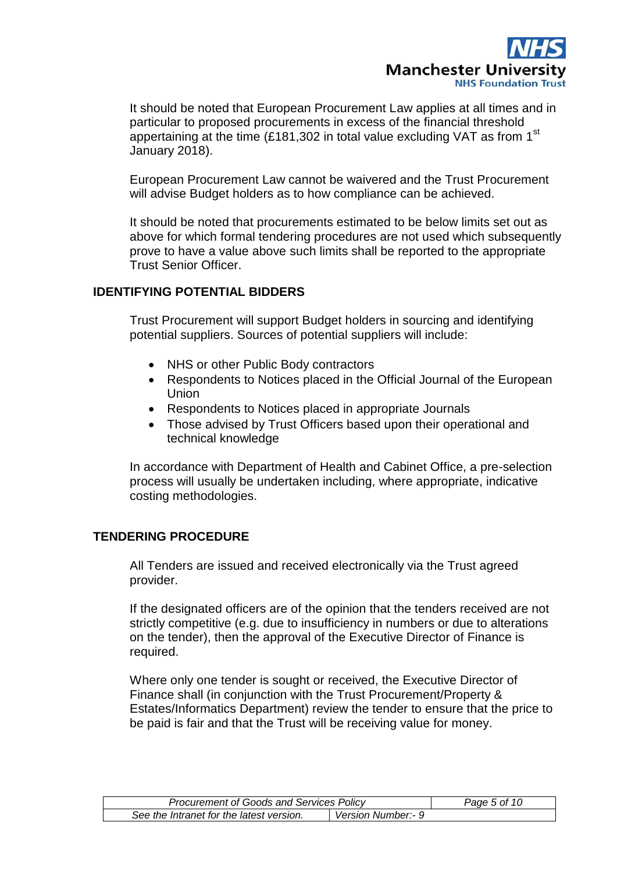

It should be noted that European Procurement Law applies at all times and in particular to proposed procurements in excess of the financial threshold appertaining at the time (£181,302 in total value excluding VAT as from 1<sup>st</sup> January 2018).

European Procurement Law cannot be waivered and the Trust Procurement will advise Budget holders as to how compliance can be achieved.

It should be noted that procurements estimated to be below limits set out as above for which formal tendering procedures are not used which subsequently prove to have a value above such limits shall be reported to the appropriate Trust Senior Officer.

# **IDENTIFYING POTENTIAL BIDDERS**

Trust Procurement will support Budget holders in sourcing and identifying potential suppliers. Sources of potential suppliers will include:

- NHS or other Public Body contractors
- Respondents to Notices placed in the Official Journal of the European Union
- Respondents to Notices placed in appropriate Journals
- Those advised by Trust Officers based upon their operational and technical knowledge

In accordance with Department of Health and Cabinet Office, a pre-selection process will usually be undertaken including, where appropriate, indicative costing methodologies.

# **TENDERING PROCEDURE**

All Tenders are issued and received electronically via the Trust agreed provider.

If the designated officers are of the opinion that the tenders received are not strictly competitive (e.g. due to insufficiency in numbers or due to alterations on the tender), then the approval of the Executive Director of Finance is required.

Where only one tender is sought or received, the Executive Director of Finance shall (in conjunction with the Trust Procurement/Property & Estates/Informatics Department) review the tender to ensure that the price to be paid is fair and that the Trust will be receiving value for money.

| <b>Procurement of Goods and Services Policy</b> |                    | Page 5 of 10 |
|-------------------------------------------------|--------------------|--------------|
| See the Intranet for the latest version.        | Version Number:- 9 |              |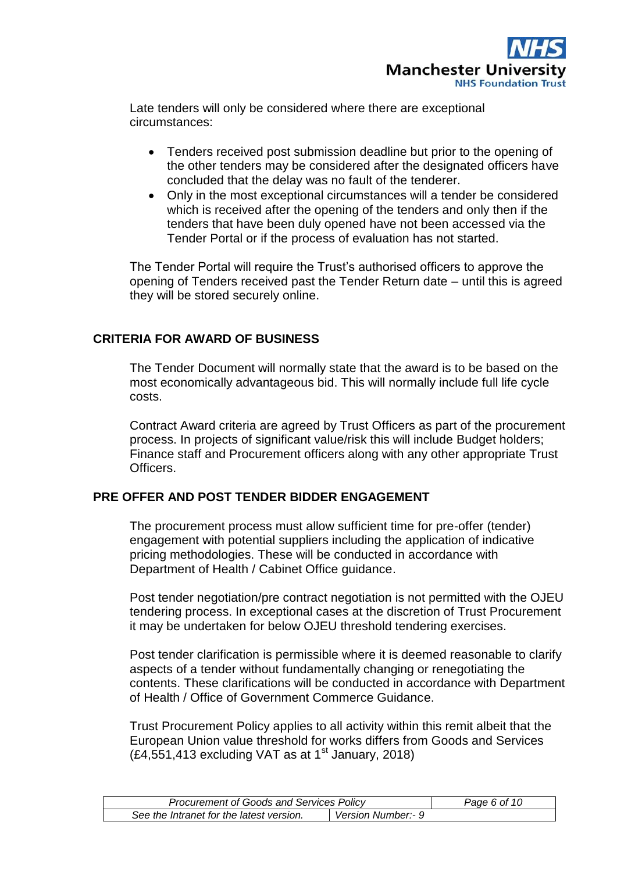

Late tenders will only be considered where there are exceptional circumstances:

- Tenders received post submission deadline but prior to the opening of the other tenders may be considered after the designated officers have concluded that the delay was no fault of the tenderer.
- Only in the most exceptional circumstances will a tender be considered which is received after the opening of the tenders and only then if the tenders that have been duly opened have not been accessed via the Tender Portal or if the process of evaluation has not started.

The Tender Portal will require the Trust's authorised officers to approve the opening of Tenders received past the Tender Return date – until this is agreed they will be stored securely online.

#### **CRITERIA FOR AWARD OF BUSINESS**

The Tender Document will normally state that the award is to be based on the most economically advantageous bid. This will normally include full life cycle costs.

Contract Award criteria are agreed by Trust Officers as part of the procurement process. In projects of significant value/risk this will include Budget holders; Finance staff and Procurement officers along with any other appropriate Trust Officers.

#### **PRE OFFER AND POST TENDER BIDDER ENGAGEMENT**

The procurement process must allow sufficient time for pre-offer (tender) engagement with potential suppliers including the application of indicative pricing methodologies. These will be conducted in accordance with Department of Health / Cabinet Office guidance.

Post tender negotiation/pre contract negotiation is not permitted with the OJEU tendering process. In exceptional cases at the discretion of Trust Procurement it may be undertaken for below OJEU threshold tendering exercises.

Post tender clarification is permissible where it is deemed reasonable to clarify aspects of a tender without fundamentally changing or renegotiating the contents. These clarifications will be conducted in accordance with Department of Health / Office of Government Commerce Guidance.

Trust Procurement Policy applies to all activity within this remit albeit that the European Union value threshold for works differs from Goods and Services  $(E4,551,413$  excluding VAT as at 1<sup>st</sup> January, 2018)

| <b>Procurement of Goods and Services Policy</b> |                    | Page 6 of 10 |
|-------------------------------------------------|--------------------|--------------|
| See the Intranet for the latest version.        | Version Number:- 9 |              |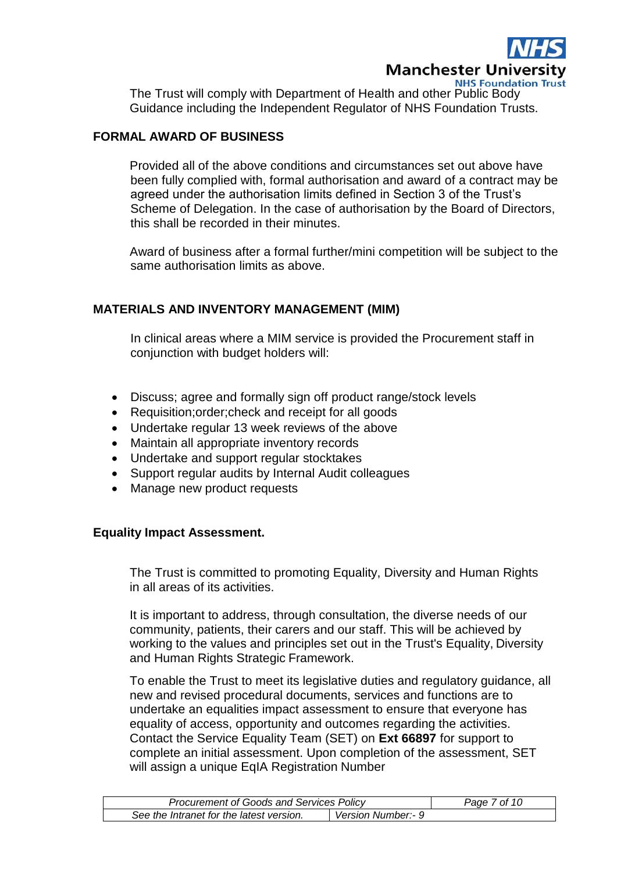

The Trust will comply with Department of Health and other Public Body Guidance including the Independent Regulator of NHS Foundation Trusts.

## **FORMAL AWARD OF BUSINESS**

Provided all of the above conditions and circumstances set out above have been fully complied with, formal authorisation and award of a contract may be agreed under the authorisation limits defined in Section 3 of the Trust's Scheme of Delegation. In the case of authorisation by the Board of Directors, this shall be recorded in their minutes.

Award of business after a formal further/mini competition will be subject to the same authorisation limits as above.

#### **MATERIALS AND INVENTORY MANAGEMENT (MIM)**

In clinical areas where a MIM service is provided the Procurement staff in conjunction with budget holders will:

- Discuss; agree and formally sign off product range/stock levels
- Requisition; order; check and receipt for all goods
- Undertake regular 13 week reviews of the above
- Maintain all appropriate inventory records
- Undertake and support regular stocktakes
- Support regular audits by Internal Audit colleagues
- Manage new product requests

#### **Equality Impact Assessment.**

The Trust is committed to promoting Equality, Diversity and Human Rights in all areas of its activities.

It is important to address, through consultation, the diverse needs of our community, patients, their carers and our staff. This will be achieved by working to the values and principles set out in the Trust's Equality, Diversity and Human Rights Strategic Framework.

To enable the Trust to meet its legislative duties and regulatory guidance, all new and revised procedural documents, services and functions are to undertake an equalities impact assessment to ensure that everyone has equality of access, opportunity and outcomes regarding the activities. Contact the Service Equality Team (SET) on **Ext 66897** for support to complete an initial assessment. Upon completion of the assessment, SET will assign a unique EqIA Registration Number

| <b>Procurement of Goods and Services Policy</b> |                    | Page 7 of 10 |
|-------------------------------------------------|--------------------|--------------|
| See the Intranet for the latest version.        | Version Number:- 9 |              |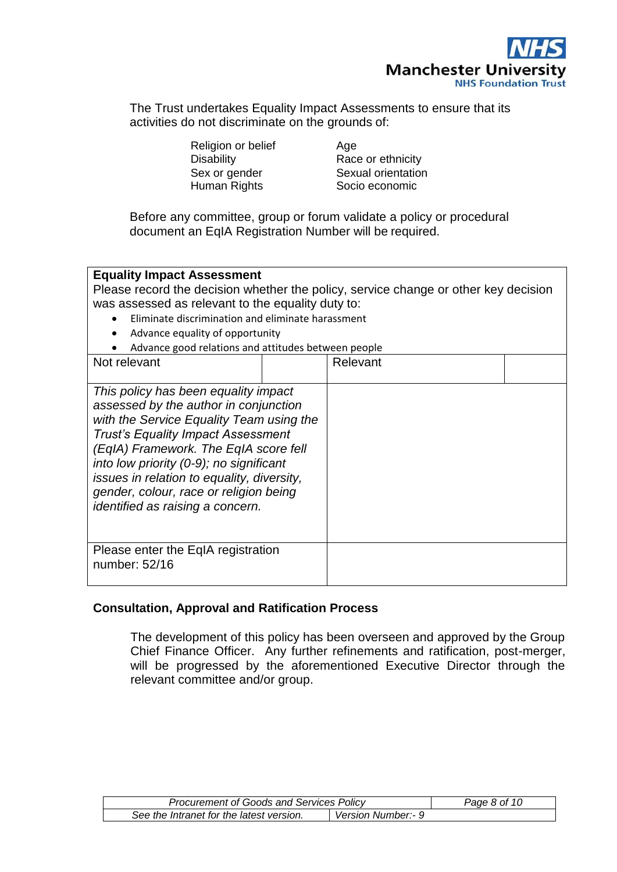

The Trust undertakes Equality Impact Assessments to ensure that its activities do not discriminate on the grounds of:

Religion or belief **Age** 

Disability **Race or ethnicity** Sex or gender Sexual orientation Human Rights **Socio economic** 

Before any committee, group or forum validate a policy or procedural document an EqIA Registration Number will be required.

# **Equality Impact Assessment**

Please record the decision whether the policy, service change or other key decision was assessed as relevant to the equality duty to:

- Eliminate discrimination and eliminate harassment
- Advance equality of opportunity
- Advance good relations and attitudes between people

| Not relevant                                                                                                                                                                                                                                                                                                                                                                           | Relevant |  |
|----------------------------------------------------------------------------------------------------------------------------------------------------------------------------------------------------------------------------------------------------------------------------------------------------------------------------------------------------------------------------------------|----------|--|
| This policy has been equality impact<br>assessed by the author in conjunction<br>with the Service Equality Team using the<br><b>Trust's Equality Impact Assessment</b><br>(EqIA) Framework. The EqIA score fell<br>into low priority (0-9); no significant<br>issues in relation to equality, diversity,<br>gender, colour, race or religion being<br>identified as raising a concern. |          |  |
| Please enter the EqIA registration<br>number: 52/16                                                                                                                                                                                                                                                                                                                                    |          |  |

# **Consultation, Approval and Ratification Process**

The development of this policy has been overseen and approved by the Group Chief Finance Officer. Any further refinements and ratification, post-merger, will be progressed by the aforementioned Executive Director through the relevant committee and/or group.

| <b>Procurement of Goods and Services Policy</b> |                    | Page 8 of 10 |
|-------------------------------------------------|--------------------|--------------|
| See the Intranet for the latest version.        | Version Number:- 9 |              |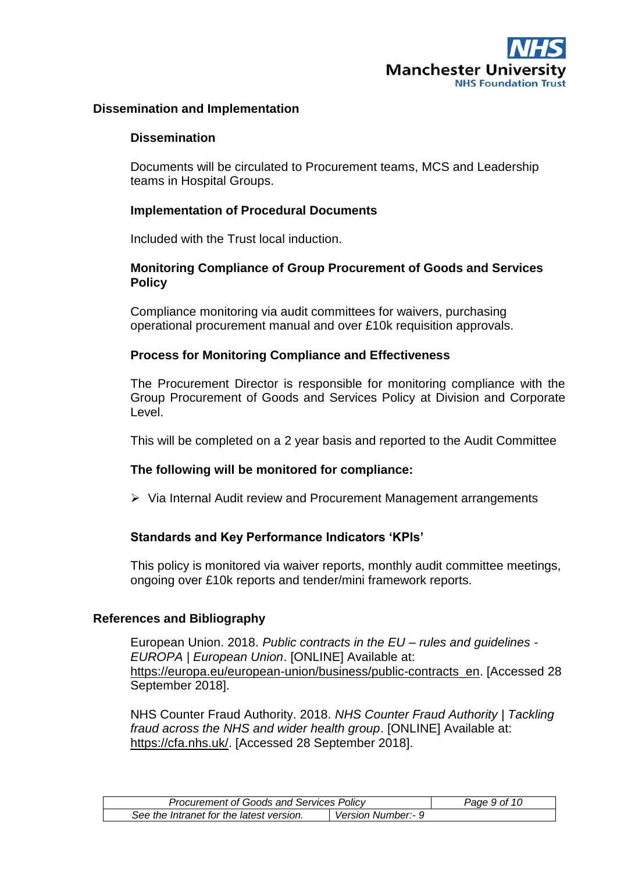

#### **Dissemination and Implementation**

#### **Dissemination**

Documents will be circulated to Procurement teams, MCS and Leadership teams in Hospital Groups.

#### **Implementation of Procedural Documents**

Included with the Trust local induction.

# **Monitoring Compliance of Group Procurement of Goods and Services Policy**

Compliance monitoring via audit committees for waivers, purchasing operational procurement manual and over £10k requisition approvals.

# **Process for Monitoring Compliance and Effectiveness**

The Procurement Director is responsible for monitoring compliance with the Group Procurement of Goods and Services Policy at Division and Corporate Level.

This will be completed on a 2 year basis and reported to the Audit Committee

#### **The following will be monitored for compliance:**

Via Internal Audit review and Procurement Management arrangements

# **Standards and Key Performance Indicators 'KPIs'**

This policy is monitored via waiver reports, monthly audit committee meetings, ongoing over £10k reports and tender/mini framework reports.

#### **References and Bibliography**

European Union. 2018. *Public contracts in the EU – rules and guidelines - EUROPA | European Union*. [ONLINE] Available at: [https://europa.eu/european-union/business/public-contracts\\_en.](https://europa.eu/european-union/business/public-contracts_en) [Accessed 28 September 2018].

NHS Counter Fraud Authority. 2018. *NHS Counter Fraud Authority | Tackling fraud across the NHS and wider health group*. [ONLINE] Available at: [https://cfa.nhs.uk/.](https://cfa.nhs.uk/) [Accessed 28 September 2018].

| <b>Procurement of Goods and Services Policy</b> |                    | Page 9 of 10 |
|-------------------------------------------------|--------------------|--------------|
| See the Intranet for the latest version.        | Version Number:- 9 |              |